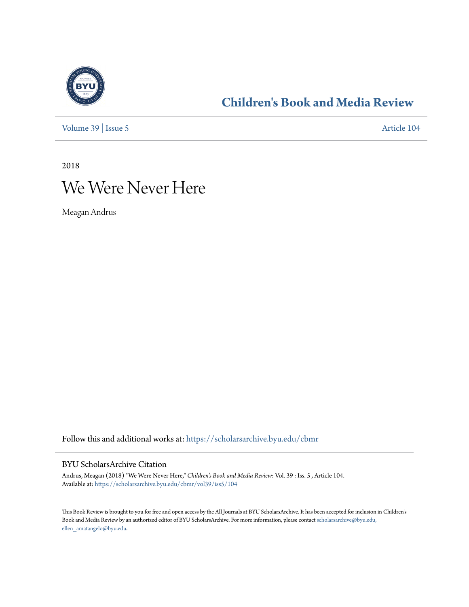

### **[Children's Book and Media Review](https://scholarsarchive.byu.edu/cbmr?utm_source=scholarsarchive.byu.edu%2Fcbmr%2Fvol39%2Fiss5%2F104&utm_medium=PDF&utm_campaign=PDFCoverPages)**

[Volume 39](https://scholarsarchive.byu.edu/cbmr/vol39?utm_source=scholarsarchive.byu.edu%2Fcbmr%2Fvol39%2Fiss5%2F104&utm_medium=PDF&utm_campaign=PDFCoverPages) | [Issue 5](https://scholarsarchive.byu.edu/cbmr/vol39/iss5?utm_source=scholarsarchive.byu.edu%2Fcbmr%2Fvol39%2Fiss5%2F104&utm_medium=PDF&utm_campaign=PDFCoverPages) [Article 104](https://scholarsarchive.byu.edu/cbmr/vol39/iss5/104?utm_source=scholarsarchive.byu.edu%2Fcbmr%2Fvol39%2Fiss5%2F104&utm_medium=PDF&utm_campaign=PDFCoverPages)

2018

# We Were Never Here

Meagan Andrus

Follow this and additional works at: [https://scholarsarchive.byu.edu/cbmr](https://scholarsarchive.byu.edu/cbmr?utm_source=scholarsarchive.byu.edu%2Fcbmr%2Fvol39%2Fiss5%2F104&utm_medium=PDF&utm_campaign=PDFCoverPages)

#### BYU ScholarsArchive Citation

Andrus, Meagan (2018) "We Were Never Here," *Children's Book and Media Review*: Vol. 39 : Iss. 5 , Article 104. Available at: [https://scholarsarchive.byu.edu/cbmr/vol39/iss5/104](https://scholarsarchive.byu.edu/cbmr/vol39/iss5/104?utm_source=scholarsarchive.byu.edu%2Fcbmr%2Fvol39%2Fiss5%2F104&utm_medium=PDF&utm_campaign=PDFCoverPages)

This Book Review is brought to you for free and open access by the All Journals at BYU ScholarsArchive. It has been accepted for inclusion in Children's Book and Media Review by an authorized editor of BYU ScholarsArchive. For more information, please contact [scholarsarchive@byu.edu,](mailto:scholarsarchive@byu.edu,%20ellen_amatangelo@byu.edu) [ellen\\_amatangelo@byu.edu.](mailto:scholarsarchive@byu.edu,%20ellen_amatangelo@byu.edu)